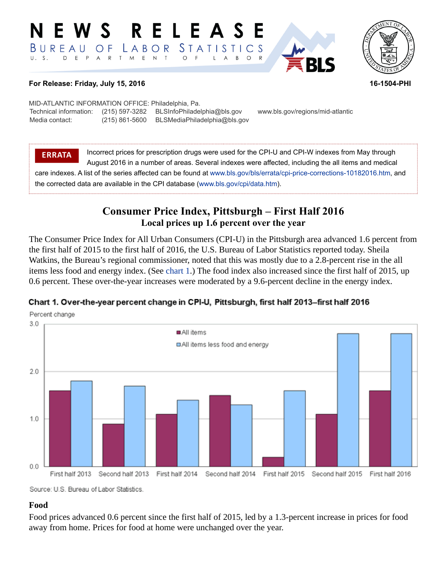#### RELEAS EWS *STATISTICS* BUREAU  $O F$ LABOR T M E N T D E P A R  $\circ$  $\overline{F}$  $B$  $\circ$ L  $\overline{\mathsf{A}}$



#### **For Release: Friday, July 15, 2016 16-1504-PHI**

MID-ATLANTIC INFORMATION OFFICE: Philadelphia, Pa. Technical information: (215) 597-3282 BLSInfoPhiladelphia@bls.gov www.bls.gov/regions/mid-atlantic Media contact: (215) 861-5600 BLSMediaPhiladelphia@bls.gov

**ERRATA** Incorrect prices for prescription drugs were used for the CPI-U and CPI-W indexes from May through August 2016 in a number of areas. Several indexes were affected, including the all items and medical care indexes. A list of the series affected can be found at [www.bls.gov/bls/errata/cpi-price-corrections-10182016.htm,](https://www.bls.gov/bls/errata/cpi-price-corrections-10182016.htm) and the corrected data are available in the CPI database ([www.bls.gov/cpi/data.htm\)](https://www.bls.gov/cpi/data.htm).

# **Consumer Price Index, Pittsburgh – First Half 2016 Local prices up 1.6 percent over the year**

The Consumer Price Index for All Urban Consumers (CPI-U) in the Pittsburgh area advanced 1.6 percent from the first half of 2015 to the first half of 2016, the U.S. Bureau of Labor Statistics reported today. Sheila Watkins, the Bureau's regional commissioner, noted that this was mostly due to a 2.8-percent rise in the all items less food and energy index. (See [chart 1](#page-0-0).) The food index also increased since the first half of 2015, up 0.6 percent. These over-the-year increases were moderated by a 9.6-percent decline in the energy index.

# Percent change  $3.0$ All items □All items less food and energy  $2.0$  $1.0$  $0.0$ First half 2013 Second half 2013 First half 2014 Second half 2014 First half 2015 Second half 2015 First half 2016

#### <span id="page-0-0"></span>Chart 1. Over-the-year percent change in CPI-U, Pittsburgh, first half 2013-first half 2016

Source: U.S. Bureau of Labor Statistics.

#### **Food**

Food prices advanced 0.6 percent since the first half of 2015, led by a 1.3-percent increase in prices for food away from home. Prices for food at home were unchanged over the year.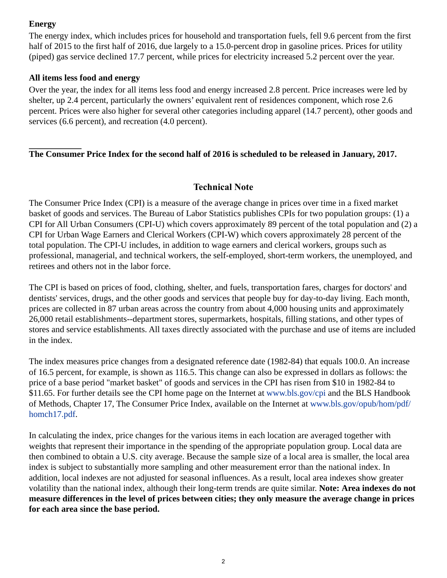# **Energy**

The energy index, which includes prices for household and transportation fuels, fell 9.6 percent from the first half of 2015 to the first half of 2016, due largely to a 15.0-percent drop in gasoline prices. Prices for utility (piped) gas service declined 17.7 percent, while prices for electricity increased 5.2 percent over the year.

#### **All items less food and energy**

Over the year, the index for all items less food and energy increased 2.8 percent. Price increases were led by shelter, up 2.4 percent, particularly the owners' equivalent rent of residences component, which rose 2.6 percent. Prices were also higher for several other categories including apparel (14.7 percent), other goods and services (6.6 percent), and recreation (4.0 percent).

## **The Consumer Price Index for the second half of 2016 is scheduled to be released in January, 2017.**

## **Technical Note**

The Consumer Price Index (CPI) is a measure of the average change in prices over time in a fixed market basket of goods and services. The Bureau of Labor Statistics publishes CPIs for two population groups: (1) a CPI for All Urban Consumers (CPI-U) which covers approximately 89 percent of the total population and (2) a CPI for Urban Wage Earners and Clerical Workers (CPI-W) which covers approximately 28 percent of the total population. The CPI-U includes, in addition to wage earners and clerical workers, groups such as professional, managerial, and technical workers, the self-employed, short-term workers, the unemployed, and retirees and others not in the labor force.

The CPI is based on prices of food, clothing, shelter, and fuels, transportation fares, charges for doctors' and dentists' services, drugs, and the other goods and services that people buy for day-to-day living. Each month, prices are collected in 87 urban areas across the country from about 4,000 housing units and approximately 26,000 retail establishments--department stores, supermarkets, hospitals, filling stations, and other types of stores and service establishments. All taxes directly associated with the purchase and use of items are included in the index.

The index measures price changes from a designated reference date (1982-84) that equals 100.0. An increase of 16.5 percent, for example, is shown as 116.5. This change can also be expressed in dollars as follows: the price of a base period "market basket" of goods and services in the CPI has risen from \$10 in 1982-84 to \$11.65. For further details see the CPI home page on the Internet at [www.bls.gov/cpi](https://www.bls.gov/cpi) and the BLS Handbook of Methods, Chapter 17, The Consumer Price Index, available on the Internet at [www.bls.gov/opub/hom/pdf/](https://www.bls.gov/opub/hom/pdf/homch17.pdf) [homch17.pdf](https://www.bls.gov/opub/hom/pdf/homch17.pdf).

In calculating the index, price changes for the various items in each location are averaged together with weights that represent their importance in the spending of the appropriate population group. Local data are then combined to obtain a U.S. city average. Because the sample size of a local area is smaller, the local area index is subject to substantially more sampling and other measurement error than the national index. In addition, local indexes are not adjusted for seasonal influences. As a result, local area indexes show greater volatility than the national index, although their long-term trends are quite similar. **Note: Area indexes do not measure differences in the level of prices between cities; they only measure the average change in prices for each area since the base period.**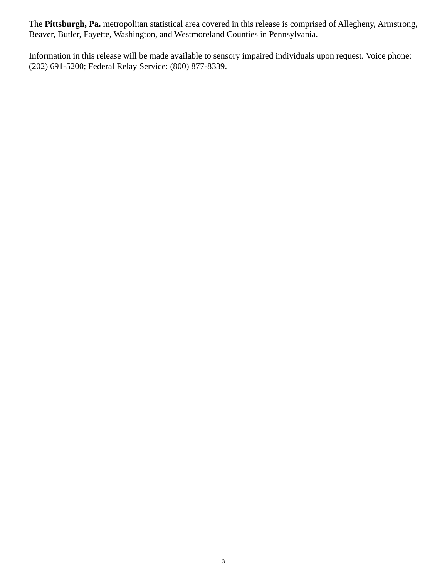The **Pittsburgh, Pa.** metropolitan statistical area covered in this release is comprised of Allegheny, Armstrong, Beaver, Butler, Fayette, Washington, and Westmoreland Counties in Pennsylvania.

Information in this release will be made available to sensory impaired individuals upon request. Voice phone: (202) 691-5200; Federal Relay Service: (800) 877-8339.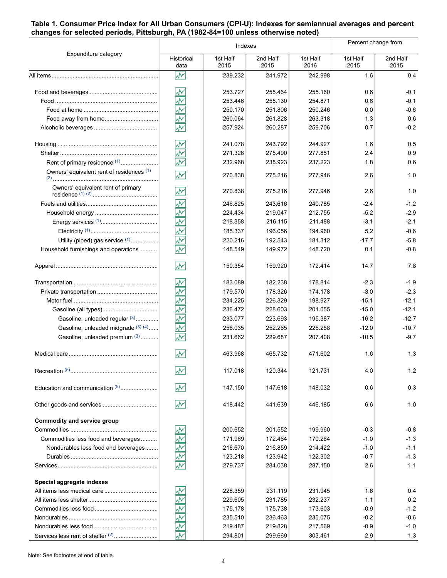#### **Table 1. Consumer Price Index for All Urban Consumers (CPI-U): Indexes for semiannual averages and percent changes for selected periods, Pittsburgh, PA (1982-84=100 unless otherwise noted)**

|                                              | Indexes                         |                  |                  |                  | Percent change from |                  |
|----------------------------------------------|---------------------------------|------------------|------------------|------------------|---------------------|------------------|
| Expenditure category                         | Historical<br>data              | 1st Half<br>2015 | 2nd Half<br>2015 | 1st Half<br>2016 | 1st Half<br>2015    | 2nd Half<br>2015 |
|                                              | 서                               | 239.232          | 241.972          | 242.998          | 1.6                 | 0.4              |
|                                              | ۸Μ                              | 253.727          | 255.464          | 255.160          | 0.6                 | $-0.1$           |
|                                              | ž                               | 253.446          | 255.130          | 254.871          | 0.6                 | $-0.1$           |
|                                              | $\overline{\mathbf{v}}$         | 250.170          | 251.806          | 250.246          | 0.0                 | $-0.6$           |
|                                              | š                               | 260.064          | 261.828          | 263.318          | 1.3                 | 0.6              |
|                                              | ۸Μ                              | 257.924          | 260.287          | 259.706          | 0.7                 | $-0.2$           |
|                                              | ۸Ņ                              | 241.078          | 243.792          | 244.927          | 1.6                 | 0.5              |
|                                              | ž                               | 271.328          | 275.490          | 277.851          | 2.4                 | 0.9              |
| Rent of primary residence (1)                | Ā۲                              | 232.968          | 235.923          | 237.223          | 1.8                 | 0.6              |
| Owners' equivalent rent of residences (1)    | ۸V                              | 270.838          | 275.216          | 277.946          | 2.6                 | 1.0              |
| Owners' equivalent rent of primary           | ₩                               | 270.838          | 275.216          | 277.946          | 2.6                 | 1.0              |
|                                              | ž                               | 246.825          | 243.616          | 240.785          | $-2.4$              | $-1.2$           |
|                                              | $\overline{\star}$              | 224.434          | 219.047          | 212.755          | $-5.2$              | $-2.9$           |
|                                              | $\frac{1}{2}$                   | 218.358          | 216.115          | 211.488          | $-3.1$              | $-2.1$           |
|                                              | š                               | 185.337          | 196.056          | 194.960          | 5.2                 | $-0.6$           |
| Utility (piped) gas service (1)              | š                               | 220.216          | 192.543          | 181.312          | $-17.7$             | $-5.8$           |
| Household furnishings and operations         | $\overline{\mathbf{v}}$         | 148.549          | 149.972          | 148.720          | 0.1                 | $-0.8$           |
|                                              | W٨                              | 150.354          | 159.920          | 172.414          | 14.7                | 7.8              |
|                                              | ۸Μ                              | 183.089          | 182.238          | 178.814          | $-2.3$              | $-1.9$           |
|                                              | $\overline{\tilde{\mathbf{v}}}$ | 179.570          | 178.326          | 174.178          | $-3.0$              | $-2.3$           |
|                                              | <u>사</u>                        | 234.225          | 226.329          | 198.927          | $-15.1$             | $-12.1$          |
|                                              |                                 | 236.472          | 228.603          | 201.055          | $-15.0$             | $-12.1$          |
| Gasoline, unleaded regular (3)               | š                               | 233.077          | 223.693          | 195.387          | $-16.2$             | $-12.7$          |
| Gasoline, unleaded midgrade (3) (4)          | š                               | 256.035          | 252.265          | 225.258          | $-12.0$             | $-10.7$          |
| Gasoline, unleaded premium (3)               | ÷                               | 231.662          | 229.687          | 207.408          | $-10.5$             | $-9.7$           |
|                                              | W۲                              | 463.968          | 465.732          | 471.602          | 1.6                 | 1.3              |
|                                              | ۸M                              | 117.018          | 120.344          | 121.731          | 4.0                 | 1.2              |
| Education and communication (5)              | W                               | 147.150          | 147.618          | 148.032          | 0.6                 | 0.3              |
|                                              | W                               | 418.442          | 441.639          | 446.185          | 6.6                 | 1.0              |
| <b>Commodity and service group</b>           |                                 |                  |                  |                  |                     |                  |
|                                              | ₩                               | 200.652          | 201.552          | 199.960          | $-0.3$              | $-0.8$           |
| Commodities less food and beverages          | ÷                               | 171.969          | 172.464          | 170.264          | $-1.0$              | $-1.3$           |
| Nondurables less food and beverages          | $\frac{1}{\sqrt{2}}$            | 216.670          | 216.859          | 214.422          | $-1.0$              | $-1.1$           |
|                                              |                                 | 123.218          | 123.942          | 122.302          | $-0.7$              | $-1.3$           |
|                                              | $\overline{\star}$              | 279.737          | 284.038          | 287.150          | 2.6                 | 1.1              |
| Special aggregate indexes                    |                                 |                  |                  |                  |                     |                  |
|                                              | بهجم                            | 228.359          | 231.119          | 231.945          | 1.6                 | 0.4              |
|                                              | š                               | 229.605          | 231.785          | 232.237          | 1.1                 | 0.2              |
|                                              | 办                               | 175.178          | 175.738          | 173.603          | $-0.9$              | $-1.2$           |
|                                              | $\frac{1}{2}$                   | 235.510          | 236.463          | 235.075          | $-0.2$              | $-0.6$           |
|                                              | ş                               | 219.487          | 219.828          | 217.569          | $-0.9$              | $-1.0$           |
| Services less rent of shelter <sup>(2)</sup> | š                               | 294.801          | 299.669          | 303.461          | 2.9                 | 1.3              |